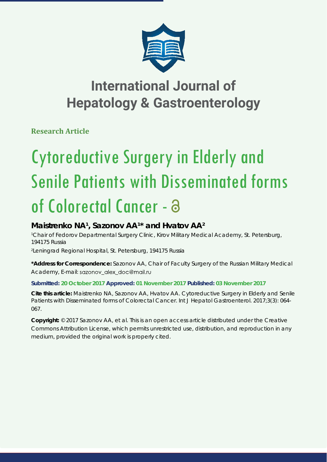

# **International Journal of Hepatology & Gastroenterology**

**Research Article**

# Cytoreductive Surgery in Elderly and Senile Patients with Disseminated forms of Colorectal Cancer - a

## Maistrenko NA<sup>1</sup>, Sazonov AA<sup>1\*</sup> and Hvatov AA<sup>2</sup>

*1 Chair of Fedorov Departmental Surgery Clinic, Kirov Military Medical Academy, St. Petersburg, 194175 Russia*

*2 Leningrad Regional Hospital, St. Petersburg, 194175 Russia*

**\*Address for Correspondence:** Sazonov AA, Chair of Faculty Surgery of the Russian Military Medical Academy, E-mail: sazonov\_alex\_doc@mail.ru

### **Submitted: 20 October 2017 Approved: 01 November 2017 Published: 03 November 2017**

**Cite this article:** Maistrenko NA, Sazonov AA, Hvatov AA. Cytoreductive Surgery in Elderly and Senile Patients with Disseminated forms of Colorectal Cancer. Int J Hepatol Gastroenterol. 2017;3(3): 064- 067.

**Copyright:** © 2017 Sazonov AA, et al. This is an open access article distributed under the Creative Commons Attribution License, which permits unrestricted use, distribution, and reproduction in any medium, provided the original work is properly cited.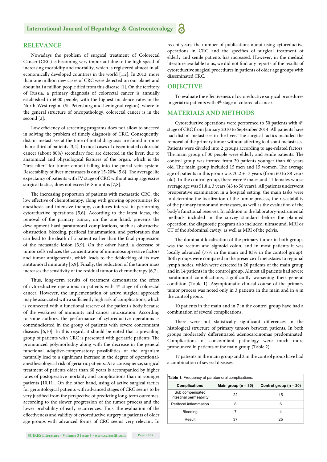#### **RELEVANCE**

Nowadays the problem of surgical treatment of Colorectal Cancer (CRC) is becoming very important due to the high speed of increasing morbidity and mortality, which is registered almost in all economically developed countries in the world [1,2]. In 2012, more than one million new cases of CRC were detected on our planet and about half a million people died from this disease [1]. On the territory of Russia, a primary diagnosis of colorectal cancer is annually established in 6000 people, with the highest incidence rates in the North-West region (St. Petersburg and Leningrad region), where in the general structure of oncopathology, colorectal cancer is in the second [2].

Low efficiency of screening programs does not allow to succeed in solving the problem of timely diagnosis of CRC. Consequently, distant metastases at the time of initial diagnosis are found in more than a third of patients [3,4]. In most cases of disseminated colorectal cancer (about 80%) secondary foci are detected in the liver, due to anatomical and physiological features of the organ, which is the "first filter" for tumor emboli falling into the portal vein system. Resectability of liver metastases is only 15-20% [5,6]. The average life expectancy of patients with IV stage of CRC without using aggressive surgical tactics, does not exceed 6-8 months [7,8].

The increasing proportion of patients with metastatic CRC, the low effective of chemotherapy, along with growing opportunities for anesthesia and intensive therapy, conduces interest in performing cytoreductive operations [5,6]. According to the latest ideas, the removal of the primary tumor, on the one hand, prevents the development hard paratumoral complications, such as obstructive obstruction, bleeding, perifocal inflammation, and perforation that can lead to the death of a patient earlier than the fatal progression of the metastatic lesion [3,9]. On the other hand, a decrease of tumor cells reduces the concentration of immunosuppressive factors and tumor antigenemia, which leads to the deblocking of its own antitumoral immunity [5,9]. Finally, the reduction of the tumor mass increases the sensitivity of the residual tumor to chemotherapy [6,7].

Thus, long-term results of treatment demonstrate the effect of cytoreductive operations in patients with 4<sup>th</sup> stage of colorectal cancer. However, the implementation of active surgical approach may be associated with a sufficiently high risk of complications, which is connected with a functional reserve of the patient's body because of the weakness of immunity and cancer intoxication. According to some authors, the performance of cytoreductive operations is contraindicated in the group of patients with severe concomitant diseases [6,10]. In this regard, it should be noted that a prevailing group of patients with CRC is presented with geriatric patients. The pronounced polymorbidity along with the decrease in the general functional adaptive-compensatory possibilities of the organism naturally lead to a significant increase in the degree of operationalanesthesiological risk of geriatric patients. As a consequence, surgical treatment of patients older than 60 years is accompanied by higher rates of postoperative mortality and complications than in younger patients [10,11]. On the other hand, using of active surgical tactics for gerontological patients with advanced stages of CRC seems to be very justified from the perspective of predicting long-term outcomes, according to the slower progression of the tumor process and the lower probability of early recurrences. Thus, the evaluation of the effectiveness and validity of cytoreductive surgery in patients of older age groups with advanced forms of CRC seems very relevant. In recent years, the number of publications about using cytoreductive operations in CRC and the specifies of surgical treatment of elderly and senile patients has increased. However, in the medical literature available to us, we did not find any reports of the results of cytoreductive surgical procedures in patients of older age groups with disseminated CRC.

#### **OBJECTIVE**

To evaluate the effectiveness of cytoreductive surgical procedures in geriatric patients with  $4<sup>th</sup>$  stage of colorectal cancer.

#### **MATERIALS AND METHODS**

Cytoreductive operations were performed to 50 patients with 4<sup>th</sup> stage of CRC from January 2010 to September 2014. All patients have had distant metastases in the liver. The surgical tactics included the removal of the primary tumor without affecting to distant metastases. Patients were divided into 2 groups according to age-related factors. The main group of 30 people were elderly and senile patients. The control group was formed from 20 patients younger than 60 years old. The main group included 15 men and 15 women. The average age of patients in this group was  $70.2 + -3$  years (from 60 to 88 years old). In the control group, there were 9 males and 11 females whose average age was  $51.8 \pm 3$  years (43 to 58 years). All patients underwent preoperative examination in a hospital setting, the main tasks were to determine the localization of the tumor process, the resectability of the primary tumor and metastases, as well as the evaluation of the body's functional reserves. In addition to the laboratory-instrumental methods included in the survey standard before the planned operation, the diagnostic program also included: ultrasound, MRI or CT of the abdominal cavity, as well as MRI of the pelvis.

The dominant localization of the primary tumor in both groups was the rectum and sigmoid colon, and in most patients it was locally advanced (77% in the main and 83% in the control group). Both groups were compared in the presence of metastases to regional lymph nodes, which were detected in 20 patients of the main group and in 14 patients in the control group. Almost all patients had severe paratumoral complications, significantly worsening their general condition (Table 1). Asymptomatic clinical course of the primary tumor process was noted only in 3 patients in the main and in 4 in the control group.

10 patients in the main and in 7 in the control group have had a combination of several complications.

There were not statistically significant differences in the histological structure of primary tumors between patients. In both groups moderately differentiated adenocarcinomas predominated. Complications of concomitant pathology were much more pronounced in patients of the main group (Table 2).

17 patients in the main group and 2 in the control group have had a combination of several diseases.

| Table 1: Frequency of paratumoral complications. |                         |                            |  |  |  |
|--------------------------------------------------|-------------------------|----------------------------|--|--|--|
| <b>Complications</b>                             | Main group ( $n = 30$ ) | Control group ( $n = 20$ ) |  |  |  |
| Sub compensated<br>intestinal permeability       | 22                      | 15                         |  |  |  |
| Perifocal inflammation                           |                         | 6                          |  |  |  |
| Bleeding                                         |                         | 4                          |  |  |  |
| Result                                           |                         | 25                         |  |  |  |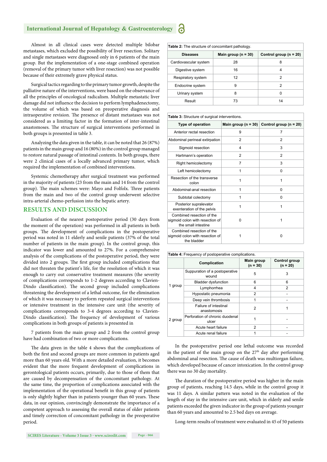#### **International Journal of Hepatology & Gastroenterology**

Almost in all clinical cases were detected multiple bilobar metastases, which excluded the possibility of liver resection. Solitary and single metastases were diagnosed only in 6 patients of the main group. But the implementation of a one-stage combined operation (removal of the primary tumor with liver resection) was not possible because of their extremely grave physical status.

Surgical tactics regarding to the primary tumor growth, despite the palliative nature of the interventions, were based on the observance of all the principles of oncological radicalism. Multiple metastatic liver damage did not influence the decision to perform lymphadenectomy, the volume of which was based on preoperative diagnosis and intraoperative revision. The presence of distant metastases was not considered as a limiting factor in the formation of inter-intestinal anastomoses. The structure of surgical interventions performed in both groups is presented in table 3.

Analyzing the data given in the table, it can be noted that 26 (87%) patients in the main group and 16 (80%) in the control group managed to restore natural passage of intestinal contents. In both groups, there were 2 clinical cases of a locally advanced primary tumor, which required the implementation of combined interventions.

Systemic chemotherapy after surgical treatment was performed in the majority of patients (23 from the main and 14 from the control group). The main schemes were: Mayo and Folfolx. Three patients from the main and two of the control group underwent selective intra-arterial chemo-perfusion into the hepatic artery.

#### **RESULTS AND DISCUSSION**

Evaluation of the nearest postoperative period (30 days from the moment of the operation) was performed in all patients in both groups. The development of complications in the postoperative period was noted in 11 elderly and senile patients (37% of the total number of patients in the main group). In the control group, this indicator was lower and amounted to 27%. For a comprehensive analysis of the complications of the postoperative period, they were divided into 2 groups. The first group included complications that did not threaten the patient's life, for the resolution of which it was enough to carry out conservative treatment measures (the severity of complications corresponds to 1-2 degrees according to Clavien-Dindo classification). The second group included complications threatening the development of a lethal outcome, for the elimination of which it was necessary to perform repeated surgical interventions or intensive treatment in the intensive care unit (the severity of complications corresponds to 3-4 degrees according to Clavien-Dindo classification). The frequency of development of various complications in both groups of patients is presented in

7 patients from the main group and 2 from the control group have had combination of two or more complications.

The data given in the table 4 shows that the complications of both the first and second groups are more common in patients aged more than 60 years old. With a more detailed evaluation, it becomes evident that the more frequent development of complications in gerontological patients occurs, primarily, due to those of them that are caused by decompensation of the concomitant pathology. At the same time, the proportion of complications associated with the implementation of the operational benefit in this group of patients is only slightly higher than in patients younger than 60 years. These data, in our opinion, convincingly demonstrate the importance of a competent approach to assessing the overall status of older patients and timely correction of concomitant pathology in the preoperative period.

| <b>Table 2:</b> The structure of concomitant pathology. |                         |                          |  |  |  |
|---------------------------------------------------------|-------------------------|--------------------------|--|--|--|
| <b>Diseases</b>                                         | Main group ( $n = 30$ ) | Control group $(n = 20)$ |  |  |  |
| Cardiovascular system                                   | 28                      | 8                        |  |  |  |
| Digestive system                                        | 16                      | 4                        |  |  |  |
| Respiratory system                                      | 12                      | 2                        |  |  |  |
| Endocrine system                                        | 9                       | 2                        |  |  |  |
| Urinary system                                          | 8                       | 0                        |  |  |  |
| Result                                                  | 73                      | 14                       |  |  |  |

| Table 3: Structure of surgical interventions.                                       |                         |                            |  |  |  |  |
|-------------------------------------------------------------------------------------|-------------------------|----------------------------|--|--|--|--|
| Type of operation                                                                   | Main group ( $n = 30$ ) | Control group ( $n = 20$ ) |  |  |  |  |
| Anterior rectal resection                                                           | 9                       | 7                          |  |  |  |  |
| Abdominal perineal extirpation                                                      | 2                       | 2                          |  |  |  |  |
| Sigmoid resection                                                                   | 4                       | 3                          |  |  |  |  |
| Hartmann's operation                                                                | 2                       | 2                          |  |  |  |  |
| Right hemicolectomy                                                                 | 7                       | 3                          |  |  |  |  |
| Left hemicolectomy                                                                  | 1                       | O                          |  |  |  |  |
| Resection of the transverse<br>colon                                                | 1                       | 1                          |  |  |  |  |
| Abdominal-anal resection                                                            | 1                       | 0                          |  |  |  |  |
| Subtotal colectomy                                                                  | 1                       | 0                          |  |  |  |  |
| Posterior supralevator<br>exenteration of the pelvis                                | 1                       | 1                          |  |  |  |  |
| Combined resection of the<br>sigmoid colon with resection of<br>the small intestine | O                       | 1                          |  |  |  |  |
| Combined resection of the<br>sigmoid colon with resection of<br>the bladder         |                         | O                          |  |  |  |  |

| Table 4: Frequency of postoperative complications. |                                          |                          |                             |  |  |
|----------------------------------------------------|------------------------------------------|--------------------------|-----------------------------|--|--|
|                                                    | Complication                             | Main group<br>$(n = 30)$ | Control group<br>$(n = 20)$ |  |  |
| 1 group                                            | Suppuration of a postoperative<br>wound  | 5                        | 3                           |  |  |
|                                                    | <b>Bladder dysfunction</b>               | 6                        | 6                           |  |  |
|                                                    | Lymphorrhea                              | 4                        | $\overline{2}$              |  |  |
|                                                    | Hypostatic pneumonia                     | 2                        |                             |  |  |
|                                                    | Deep vein thrombosis                     | 1                        |                             |  |  |
| 2 group                                            | Failure of intestinal<br>anastomosis     | 2                        |                             |  |  |
|                                                    | Perforation of chronic duodenal<br>ulcer | 1                        |                             |  |  |
|                                                    | Acute heart failure                      | 2                        |                             |  |  |
|                                                    | Acute renal failure                      |                          |                             |  |  |

In the postoperative period one lethal outcome was recorded in the patient of the main group on the  $27<sup>th</sup>$  day after performing abdominal anal resection. The cause of death was multiorgan failure, which developed because of cancer intoxication. In the control group there was no 30 day mortality.

The duration of the postoperative period was higher in the main group of patients, reaching 14.5 days, while in the control group it was 11 days. A similar pattern was noted in the evaluation of the length of stay in the intensive care unit, which in elderly and senile patients exceeded the given indicator in the group of patients younger than 60 years and amounted to 2.5 bed days on average.

Long-term results of treatment were evaluated in 45 of 50 patients